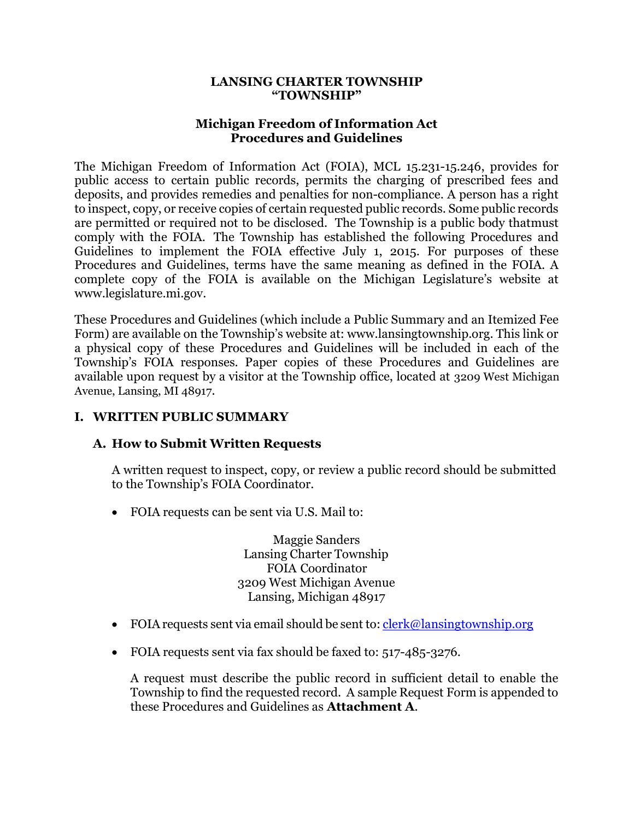#### LANSING CHARTER TOWNSHIP "TOWNSHIP"

### Michigan Freedom of Information Act Procedures and Guidelines

The Michigan Freedom of Information Act (FOIA), MCL 15.231-15.246, provides for public access to certain public records, permits the charging of prescribed fees and deposits, and provides remedies and penalties for non-compliance. A person has a right to inspect, copy, or receive copies of certain requested public records. Some public records are permitted or required not to be disclosed. The Township is a public body that must comply with the FOIA. The Township has established the following Procedures and Guidelines to implement the FOIA effective July 1, 2015. For purposes of these Procedures and Guidelines, terms have the same meaning as defined in the FOIA. A complete copy of the FOIA is available on the Michigan Legislature's website at www.legislature.mi.gov.

These Procedures and Guidelines (which include a Public Summary and an Itemized Fee Form) are available on the Township's website at: www.lansingtownship.org. This link or a physical copy of these Procedures and Guidelines will be included in each of the Township's FOIA responses. Paper copies of these Procedures and Guidelines are available upon request by a visitor at the Township office, located at 3209 West Michigan Avenue, Lansing, MI 48917.

### I. WRITTEN PUBLIC SUMMARY

### A. How to Submit Written Requests

A written request to inspect, copy, or review a public record should be submitted to the Township's FOIA Coordinator.

FOIA requests can be sent via U.S. Mail to:

Maggie Sanders Lansing Charter Township FOIA Coordinator 3209 West Michigan Avenue Lansing, Michigan 48917

- FOIA requests sent via email should be sent to:  $\frac{\text{clerk@lassing} to \text{weak}\\$
- FOIA requests sent via fax should be faxed to: 517-485-3276.

A request must describe the public record in sufficient detail to enable the Township to find the requested record. A sample Request Form is appended to these Procedures and Guidelines as Attachment A.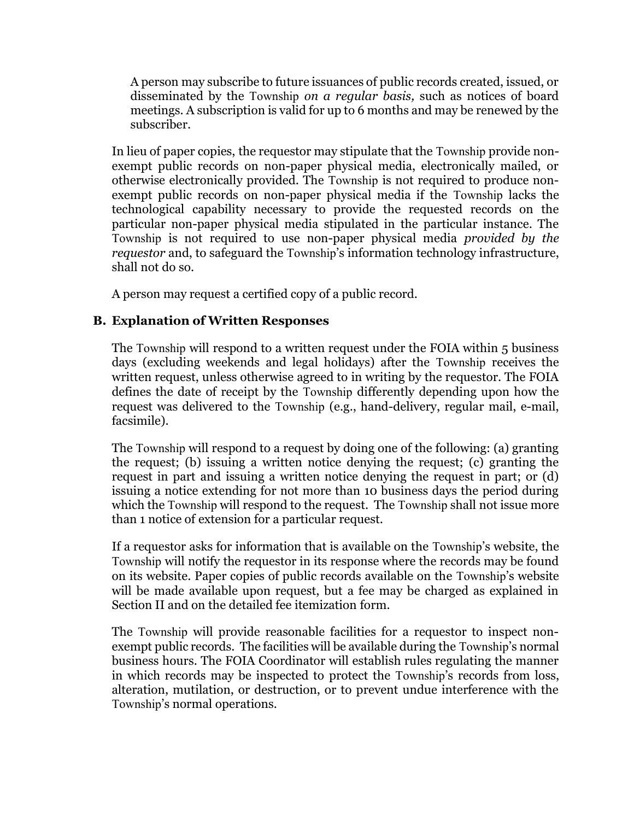A person may subscribe to future issuances of public records created, issued, or disseminated by the Township on a regular basis, such as notices of board meetings. A subscription is valid for up to 6 months and may be renewed by the subscriber.

In lieu of paper copies, the requestor may stipulate that the Township provide nonexempt public records on non-paper physical media, electronically mailed, or otherwise electronically provided. The Township is not required to produce nonexempt public records on non-paper physical media if the Township lacks the technological capability necessary to provide the requested records on the particular non-paper physical media stipulated in the particular instance. The Township is not required to use non-paper physical media provided by the requestor and, to safeguard the Township's information technology infrastructure, shall not do so.

A person may request a certified copy of a public record.

# B. Explanation of Written Responses

The Township will respond to a written request under the FOIA within 5 business days (excluding weekends and legal holidays) after the Township receives the written request, unless otherwise agreed to in writing by the requestor. The FOIA defines the date of receipt by the Township differently depending upon how the request was delivered to the Township (e.g., hand-delivery, regular mail, e-mail, facsimile).

The Township will respond to a request by doing one of the following: (a) granting the request; (b) issuing a written notice denying the request; (c) granting the request in part and issuing a written notice denying the request in part; or (d) issuing a notice extending for not more than 10 business days the period during which the Township will respond to the request. The Township shall not issue more than 1 notice of extension for a particular request.

If a requestor asks for information that is available on the Township's website, the Township will notify the requestor in its response where the records may be found on its website. Paper copies of public records available on the Township's website will be made available upon request, but a fee may be charged as explained in Section II and on the detailed fee itemization form.

The Township will provide reasonable facilities for a requestor to inspect nonexempt public records. The facilities will be available during the Township's normal business hours. The FOIA Coordinator will establish rules regulating the manner in which records may be inspected to protect the Township's records from loss, alteration, mutilation, or destruction, or to prevent undue interference with the Township's normal operations.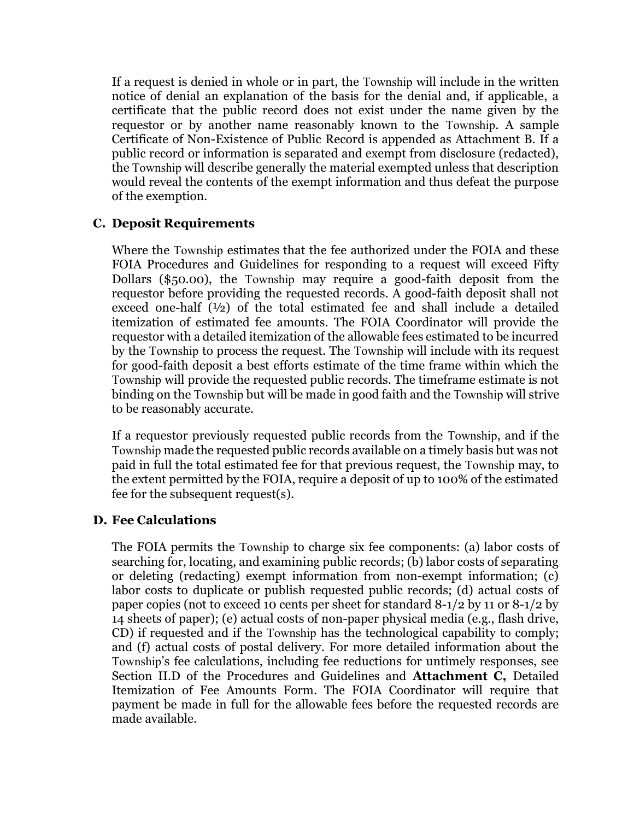If a request is denied in whole or in part, the Township will include in the written notice of denial an explanation of the basis for the denial and, if applicable, a certificate that the public record does not exist under the name given by the requestor or by another name reasonably known to the Township. A sample Certificate of Non-Existence of Public Record is appended as Attachment B. If a public record or information is separated and exempt from disclosure (redacted), the Township will describe generally the material exempted unless that description would reveal the contents of the exempt information and thus defeat the purpose of the exemption.

### C. Deposit Requirements

Where the Township estimates that the fee authorized under the FOIA and these FOIA Procedures and Guidelines for responding to a request will exceed Fifty Dollars (\$50.00), the Township may require a good-faith deposit from the requestor before providing the requested records. A good-faith deposit shall not exceed one-half (½) of the total estimated fee and shall include a detailed itemization of estimated fee amounts. The FOIA Coordinator will provide the requestor with a detailed itemization of the allowable fees estimated to be incurred by the Township to process the request. The Township will include with its request for good-faith deposit a best efforts estimate of the time frame within which the Township will provide the requested public records. The timeframe estimate is not binding on the Township but will be made in good faith and the Township will strive to be reasonably accurate.

If a requestor previously requested public records from the Township, and if the Township made the requested public records available on a timely basis but was not paid in full the total estimated fee for that previous request, the Township may, to the extent permitted by the FOIA, require a deposit of up to 100% of the estimated fee for the subsequent request(s).

### D. Fee Calculations

The FOIA permits the Township to charge six fee components: (a) labor costs of searching for, locating, and examining public records; (b) labor costs of separating or deleting (redacting) exempt information from non-exempt information; (c) labor costs to duplicate or publish requested public records; (d) actual costs of paper copies (not to exceed 10 cents per sheet for standard 8-1/2 by 11 or 8-1/2 by 14 sheets of paper); (e) actual costs of non-paper physical media (e.g., flash drive, CD) if requested and if the Township has the technological capability to comply; and (f) actual costs of postal delivery. For more detailed information about the Township's fee calculations, including fee reductions for untimely responses, see Section II.D of the Procedures and Guidelines and Attachment C, Detailed Itemization of Fee Amounts Form. The FOIA Coordinator will require that payment be made in full for the allowable fees before the requested records are made available.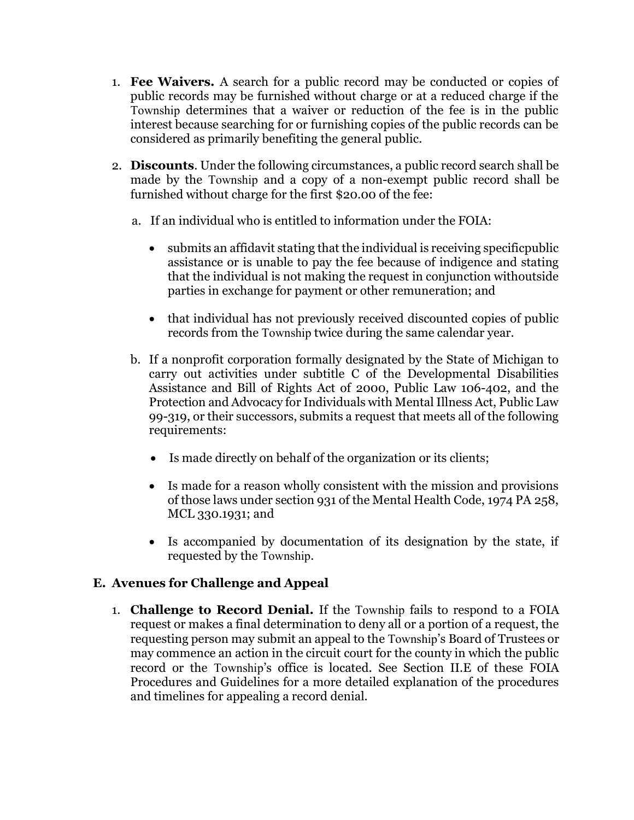- 1. Fee Waivers. A search for a public record may be conducted or copies of public records may be furnished without charge or at a reduced charge if the Township determines that a waiver or reduction of the fee is in the public interest because searching for or furnishing copies of the public records can be considered as primarily benefiting the general public.
- 2. Discounts. Under the following circumstances, a public record search shall be made by the Township and a copy of a non-exempt public record shall be furnished without charge for the first \$20.00 of the fee:
	- a. If an individual who is entitled to information under the FOIA:
		- $\bullet$  submits an affidavit stating that the individual is receiving specific public assistance or is unable to pay the fee because of indigence and stating that the individual is not making the request in conjunction with outside parties in exchange for payment or other remuneration; and
		- that individual has not previously received discounted copies of public records from the Township twice during the same calendar year.
	- b. If a nonprofit corporation formally designated by the State of Michigan to carry out activities under subtitle C of the Developmental Disabilities Assistance and Bill of Rights Act of 2000, Public Law 106-402, and the Protection and Advocacy for Individuals with Mental Illness Act, Public Law 99-319, or their successors, submits a request that meets all of the following requirements:
		- Is made directly on behalf of the organization or its clients;
		- Is made for a reason wholly consistent with the mission and provisions of those laws under section 931 of the Mental Health Code, 1974 PA 258, MCL 330.1931; and
		- Is accompanied by documentation of its designation by the state, if requested by the Township.

## E. Avenues for Challenge and Appeal

1. **Challenge to Record Denial.** If the Township fails to respond to a FOIA request or makes a final determination to deny all or a portion of a request, the requesting person may submit an appeal to the Township's Board of Trustees or may commence an action in the circuit court for the county in which the public record or the Township's office is located. See Section II.E of these FOIA Procedures and Guidelines for a more detailed explanation of the procedures and timelines for appealing a record denial.